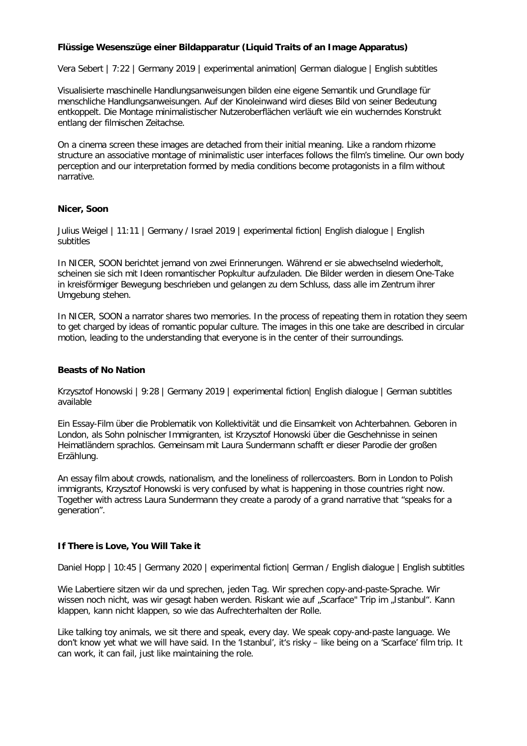# **Flüssige Wesenszüge einer Bildapparatur (Liquid Traits of an Image Apparatus)**

Vera Sebert | 7:22 | Germany 2019 | experimental animation| German dialogue | English subtitles

Visualisierte maschinelle Handlungsanweisungen bilden eine eigene Semantik und Grundlage für menschliche Handlungsanweisungen. Auf der Kinoleinwand wird dieses Bild von seiner Bedeutung entkoppelt. Die Montage minimalistischer Nutzeroberflächen verläuft wie ein wucherndes Konstrukt entlang der filmischen Zeitachse.

On a cinema screen these images are detached from their initial meaning. Like a random rhizome structure an associative montage of minimalistic user interfaces follows the film's timeline. Our own body perception and our interpretation formed by media conditions become protagonists in a film without narrative.

## **Nicer, Soon**

Julius Weigel | 11:11 | Germany / Israel 2019 | experimental fiction| English dialogue | English subtitles

In NICER, SOON berichtet jemand von zwei Erinnerungen. Während er sie abwechselnd wiederholt, scheinen sie sich mit Ideen romantischer Popkultur aufzuladen. Die Bilder werden in diesem One-Take in kreisförmiger Bewegung beschrieben und gelangen zu dem Schluss, dass alle im Zentrum ihrer Umgebung stehen.

In NICER, SOON a narrator shares two memories. In the process of repeating them in rotation they seem to get charged by ideas of romantic popular culture. The images in this one take are described in circular motion, leading to the understanding that everyone is in the center of their surroundings.

## **Beasts of No Nation**

Krzysztof Honowski | 9:28 | Germany 2019 | experimental fiction| English dialogue | German subtitles available

Ein Essay-Film über die Problematik von Kollektivität und die Einsamkeit von Achterbahnen. Geboren in London, als Sohn polnischer Immigranten, ist Krzysztof Honowski über die Geschehnisse in seinen Heimatländern sprachlos. Gemeinsam mit Laura Sundermann schafft er dieser Parodie der großen Erzählung.

An essay film about crowds, nationalism, and the loneliness of rollercoasters. Born in London to Polish immigrants, Krzysztof Honowski is very confused by what is happening in those countries right now. Together with actress Laura Sundermann they create a parody of a grand narrative that "speaks for a generation".

## **If There is Love, You Will Take it**

Daniel Hopp | 10:45 | Germany 2020 | experimental fiction| German / English dialogue | English subtitles

Wie Labertiere sitzen wir da und sprechen, jeden Tag. Wir sprechen copy-and-paste-Sprache. Wir wissen noch nicht, was wir gesagt haben werden. Riskant wie auf "Scarface" Trip im "Istanbul". Kann klappen, kann nicht klappen, so wie das Aufrechterhalten der Rolle.

Like talking toy animals, we sit there and speak, every day. We speak copy-and-paste language. We don't know yet what we will have said. In the 'Istanbul', it's risky – like being on a 'Scarface' film trip. It can work, it can fail, just like maintaining the role.